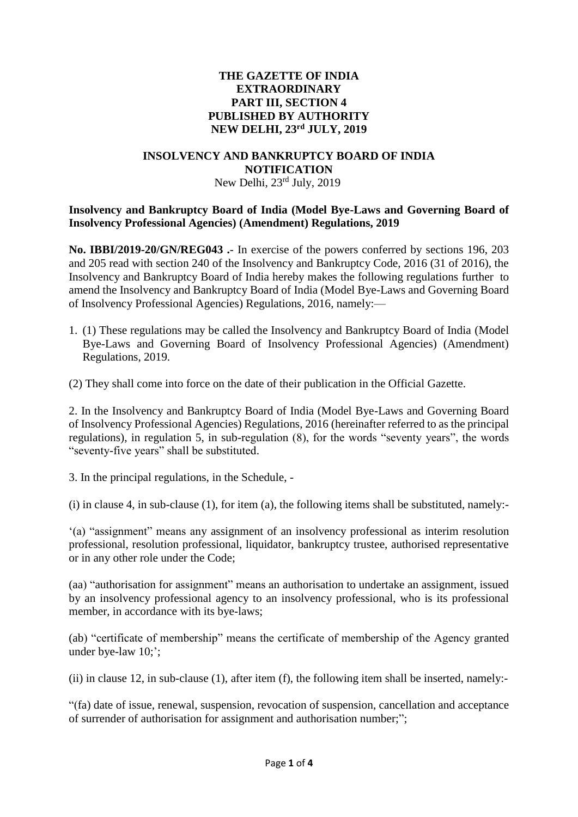## **THE GAZETTE OF INDIA EXTRAORDINARY PART III, SECTION 4 PUBLISHED BY AUTHORITY NEW DELHI, 23rd JULY, 2019**

### **INSOLVENCY AND BANKRUPTCY BOARD OF INDIA NOTIFICATION**

# New Delhi, 23rd July, 2019

# **Insolvency and Bankruptcy Board of India (Model Bye-Laws and Governing Board of Insolvency Professional Agencies) (Amendment) Regulations, 2019**

**No. IBBI/2019-20/GN/REG043 .**- In exercise of the powers conferred by sections 196, 203 and 205 read with section 240 of the Insolvency and Bankruptcy Code, 2016 (31 of 2016), the Insolvency and Bankruptcy Board of India hereby makes the following regulations further to amend the Insolvency and Bankruptcy Board of India (Model Bye-Laws and Governing Board of Insolvency Professional Agencies) Regulations, 2016, namely:—

1. (1) These regulations may be called the Insolvency and Bankruptcy Board of India (Model Bye-Laws and Governing Board of Insolvency Professional Agencies) (Amendment) Regulations, 2019.

(2) They shall come into force on the date of their publication in the Official Gazette.

2. In the Insolvency and Bankruptcy Board of India (Model Bye-Laws and Governing Board of Insolvency Professional Agencies) Regulations, 2016 (hereinafter referred to as the principal regulations), in regulation 5, in sub-regulation (8), for the words "seventy years", the words "seventy-five years" shall be substituted.

3. In the principal regulations, in the Schedule, -

(i) in clause 4, in sub-clause (1), for item (a), the following items shall be substituted, namely:-

'(a) "assignment" means any assignment of an insolvency professional as interim resolution professional, resolution professional, liquidator, bankruptcy trustee, authorised representative or in any other role under the Code;

(aa) "authorisation for assignment" means an authorisation to undertake an assignment, issued by an insolvency professional agency to an insolvency professional, who is its professional member, in accordance with its bye-laws;

(ab) "certificate of membership" means the certificate of membership of the Agency granted under bye-law 10;';

(ii) in clause 12, in sub-clause (1), after item (f), the following item shall be inserted, namely:-

"(fa) date of issue, renewal, suspension, revocation of suspension, cancellation and acceptance of surrender of authorisation for assignment and authorisation number;";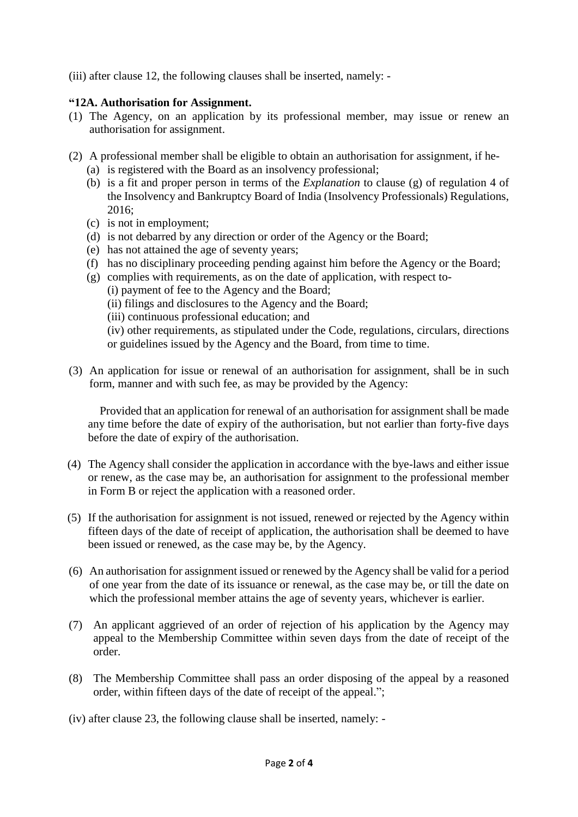(iii) after clause 12, the following clauses shall be inserted, namely: -

# **"12A. Authorisation for Assignment.**

- (1) The Agency, on an application by its professional member, may issue or renew an authorisation for assignment.
- (2) A professional member shall be eligible to obtain an authorisation for assignment, if he-
	- (a) is registered with the Board as an insolvency professional;
	- (b) is a fit and proper person in terms of the *Explanation* to clause (g) of regulation 4 of the Insolvency and Bankruptcy Board of India (Insolvency Professionals) Regulations, 2016;
	- (c) is not in employment;
	- (d) is not debarred by any direction or order of the Agency or the Board;
	- (e) has not attained the age of seventy years;
	- (f) has no disciplinary proceeding pending against him before the Agency or the Board;
	- (g) complies with requirements, as on the date of application, with respect to-
		- (i) payment of fee to the Agency and the Board;
		- (ii) filings and disclosures to the Agency and the Board;
		- (iii) continuous professional education; and
		- (iv) other requirements, as stipulated under the Code, regulations, circulars, directions or guidelines issued by the Agency and the Board, from time to time.
- (3) An application for issue or renewal of an authorisation for assignment, shall be in such form, manner and with such fee, as may be provided by the Agency:

 Provided that an application for renewal of an authorisation for assignment shall be made any time before the date of expiry of the authorisation, but not earlier than forty-five days before the date of expiry of the authorisation.

- (4) The Agency shall consider the application in accordance with the bye-laws and either issue or renew, as the case may be, an authorisation for assignment to the professional member in Form B or reject the application with a reasoned order.
- (5) If the authorisation for assignment is not issued, renewed or rejected by the Agency within fifteen days of the date of receipt of application, the authorisation shall be deemed to have been issued or renewed, as the case may be, by the Agency.
- (6) An authorisation for assignment issued or renewed by the Agency shall be valid for a period of one year from the date of its issuance or renewal, as the case may be, or till the date on which the professional member attains the age of seventy years, whichever is earlier.
- (7) An applicant aggrieved of an order of rejection of his application by the Agency may appeal to the Membership Committee within seven days from the date of receipt of the order.
- (8) The Membership Committee shall pass an order disposing of the appeal by a reasoned order, within fifteen days of the date of receipt of the appeal.";
- (iv) after clause 23, the following clause shall be inserted, namely: -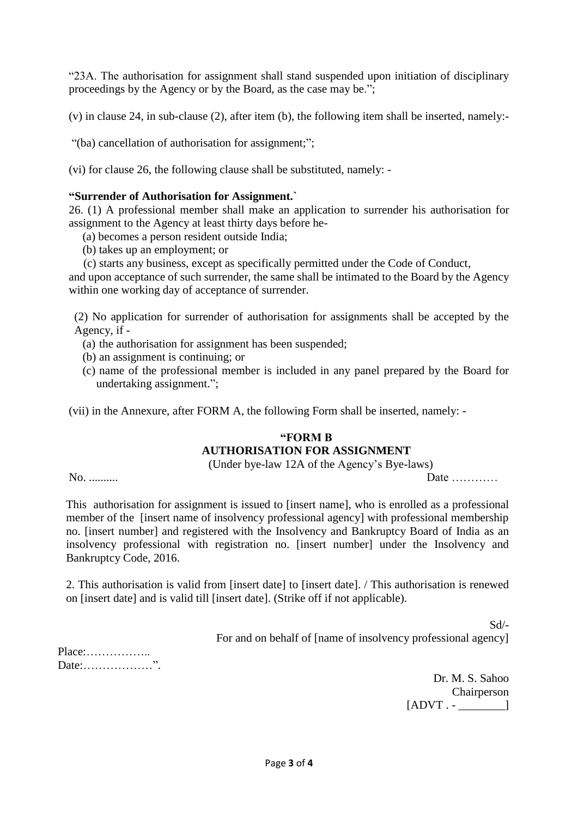"23A. The authorisation for assignment shall stand suspended upon initiation of disciplinary proceedings by the Agency or by the Board, as the case may be.";

(v) in clause 24, in sub-clause (2), after item (b), the following item shall be inserted, namely:-

"(ba) cancellation of authorisation for assignment;";

(vi) for clause 26, the following clause shall be substituted, namely: -

## **"Surrender of Authorisation for Assignment.`**

26. (1) A professional member shall make an application to surrender his authorisation for assignment to the Agency at least thirty days before he-

(a) becomes a person resident outside India;

- (b) takes up an employment; or
- (c) starts any business, except as specifically permitted under the Code of Conduct,

and upon acceptance of such surrender, the same shall be intimated to the Board by the Agency within one working day of acceptance of surrender.

(2) No application for surrender of authorisation for assignments shall be accepted by the Agency, if -

- (a) the authorisation for assignment has been suspended;
- (b) an assignment is continuing; or
- (c) name of the professional member is included in any panel prepared by the Board for undertaking assignment.";

(vii) in the Annexure, after FORM A, the following Form shall be inserted, namely: -

#### **"FORM B**

#### **AUTHORISATION FOR ASSIGNMENT**

(Under bye-law 12A of the Agency's Bye-laws)

No. .......... Date …………

This authorisation for assignment is issued to [insert name], who is enrolled as a professional member of the [insert name of insolvency professional agency] with professional membership no. [insert number] and registered with the Insolvency and Bankruptcy Board of India as an insolvency professional with registration no. [insert number] under the Insolvency and Bankruptcy Code, 2016.

2. This authorisation is valid from [insert date] to [insert date]. / This authorisation is renewed on [insert date] and is valid till [insert date]. (Strike off if not applicable).

> Sd/- For and on behalf of [name of insolvency professional agency]

Place:…………….. Date: www.

> Dr. M. S. Sahoo Chairperson  $[ADVT. ]$